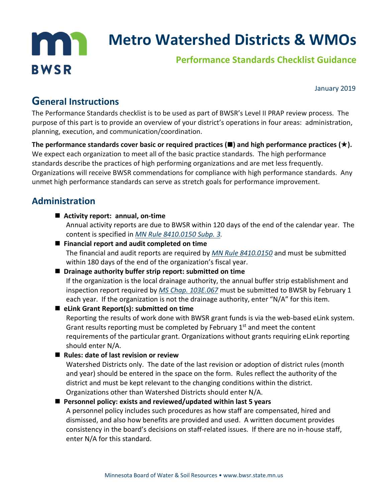# **Metro Watershed Districts & WMOs**  m **Performance Standards Checklist GuidanceBWSR**

January 2019

# **General Instructions**

The Performance Standards checklist is to be used as part of BWSR's Level II PRAP review process. The purpose of this part is to provide an overview of your district's operations in four areas: administration, planning, execution, and communication/coordination.

The performance standards cover basic or required practices  $(\blacksquare)$  and high performance practices  $(\star)$ . We expect each organization to meet all of the basic practice standards. The high performance standards describe the practices of high performing organizations and are met less frequently. Organizations will receive BWSR commendations for compliance with high performance standards. Any unmet high performance standards can serve as stretch goals for performance improvement.

# **Administration**

- **Activity report: annual, on-time** Annual activity reports are due to BWSR within 120 days of the end of the calendar year. The content is specified in *[MN Rule 8410.0150 Subp. 3.](https://www.revisor.leg.state.mn.us/rules/?id=8410.0150)* **Financial report and audit completed on time**
- The financial and audit reports are required by *[MN Rule 8410.0150](https://www.revisor.leg.state.mn.us/rules/?id=8410.0150)* and must be submitted within 180 days of the end of the organization's fiscal year.
- Drainage authority buffer strip report: submitted on time If the organization is the local drainage authority, the annual buffer strip establishment and inspection report required by *[MS Chap. 103E.067](https://www.revisor.mn.gov/statutes/?id=103E)* must be submitted to BWSR by February 1 each year. If the organization is not the drainage authority, enter "N/A" for this item.

 **eLink Grant Report(s): submitted on time** Reporting the results of work done with BWSR grant funds is via the web-based eLink system. Grant results reporting must be completed by February  $1<sup>st</sup>$  and meet the content requirements of the particular grant. Organizations without grants requiring eLink reporting should enter N/A.

## ■ Rules: date of last revision or review

Watershed Districts only. The date of the last revision or adoption of district rules (month and year) should be entered in the space on the form. Rules reflect the authority of the district and must be kept relevant to the changing conditions within the district. Organizations other than Watershed Districts should enter N/A.

## **Personnel policy: exists and reviewed/updated within last 5 years**

A personnel policy includes such procedures as how staff are compensated, hired and dismissed, and also how benefits are provided and used. A written document provides consistency in the board's decisions on staff-related issues. If there are no in-house staff, enter N/A for this standard.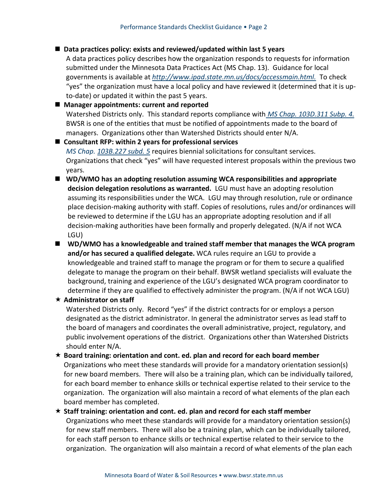#### ■ Data practices policy: exists and reviewed/updated within last 5 years

A data practices policy describes how the organization responds to requests for information submitted under the Minnesota Data Practices Act (MS Chap. 13). Guidance for local governments is available at *<http://www.ipad.state.mn.us/docs/accessmain.html.>* To check "yes" the organization must have a local policy and have reviewed it (determined that it is upto-date) or updated it within the past 5 years.

 **Manager appointments: current and reported** Watershed Districts only. This standard reports compliance with *[MS Chap. 103D.311 Subp. 4.](https://www.revisor.mn.gov/statutes/?id=103D.311)*  BWSR is one of the entities that must be notified of appointments made to the board of managers. Organizations other than Watershed Districts should enter N/A.

■ Consultant RFP: within 2 years for professional services *MS Chap. [103B.227 subd. 5](https://www.revisor.mn.gov/statutes/?id=103b.227)* requires biennial solicitations for consultant services. Organizations that check "yes" will have requested interest proposals within the previous two years.

- **WD/WMO has an adopting resolution assuming WCA responsibilities and appropriate decision delegation resolutions as warranted.** LGU must have an adopting resolution assuming its responsibilities under the WCA. LGU may through resolution, rule or ordinance place decision-making authority with staff. Copies of resolutions, rules and/or ordinances will be reviewed to determine if the LGU has an appropriate adopting resolution and if all decision-making authorities have been formally and properly delegated. (N/A if not WCA LGU)
- **WD/WMO has a knowledgeable and trained staff member that manages the WCA program and/or has secured a qualified delegate.** WCA rules require an LGU to provide a knowledgeable and trained staff to manage the program or for them to secure a qualified delegate to manage the program on their behalf. BWSR wetland specialists will evaluate the background, training and experience of the LGU's designated WCA program coordinator to determine if they are qualified to effectively administer the program. (N/A if not WCA LGU)

## **Administrator on staff**

Watershed Districts only. Record "yes" if the district contracts for or employs a person designated as the district administrator. In general the administrator serves as lead staff to the board of managers and coordinates the overall administrative, project, regulatory, and public involvement operations of the district. Organizations other than Watershed Districts should enter N/A.

 **Board training: orientation and cont. ed. plan and record for each board member** Organizations who meet these standards will provide for a mandatory orientation session(s) for new board members. There will also be a training plan, which can be individually tailored, for each board member to enhance skills or technical expertise related to their service to the organization. The organization will also maintain a record of what elements of the plan each board member has completed.

## **Staff training: orientation and cont. ed. plan and record for each staff member** Organizations who meet these standards will provide for a mandatory orientation session(s) for new staff members. There will also be a training plan, which can be individually tailored, for each staff person to enhance skills or technical expertise related to their service to the organization. The organization will also maintain a record of what elements of the plan each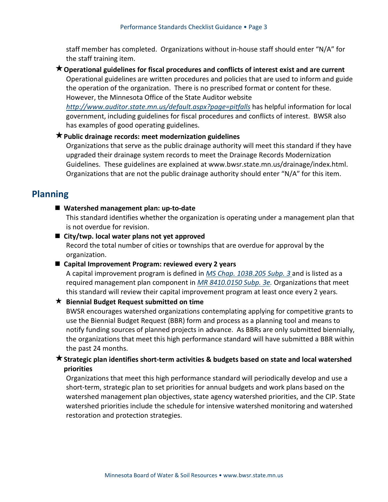staff member has completed. Organizations without in-house staff should enter "N/A" for the staff training item.

**Operational guidelines for fiscal procedures and conflicts of interest exist and are current** Operational guidelines are written procedures and policies that are used to inform and guide the operation of the organization. There is no prescribed format or content for these. However, the Minnesota Office of the State Auditor website

*<http://www.auditor.state.mn.us/default.aspx?page=pitfalls>* has helpful information for local government, including guidelines for fiscal procedures and conflicts of interest. BWSR also has examples of good operating guidelines.

#### **Public drainage records: meet modernization guidelines**

Organizations that serve as the public drainage authority will meet this standard if they have upgraded their drainage system records to meet the Drainage Records Modernization Guidelines. These guidelines are explained at www.bwsr.state.mn.us/drainage/index.html. Organizations that are not the public drainage authority should enter "N/A" for this item.

## **Planning**

**Watershed management plan: up-to-date**

This standard identifies whether the organization is operating under a management plan that is not overdue for revision.

■ City/twp. local water plans not yet approved Record the total number of cities or townships that are overdue for approval by the organization.

## **Capital Improvement Program: reviewed every 2 years**

A capital improvement program is defined in *[MS Chap. 103B.205 Subp. 3](https://www.revisor.mn.gov/statutes/?id=103B.205)* and is listed as a required management plan component in *[MR 8410.0150 Subp. 3e.](https://www.revisor.leg.state.mn.us/rules/?id=8410.0150)* Organizations that meet this standard will review their capital improvement program at least once every 2 years.

## **Biennial Budget Request submitted on time**

BWSR encourages watershed organizations contemplating applying for competitive grants to use the Biennial Budget Request (BBR) form and process as a planning tool and means to notify funding sources of planned projects in advance. As BBRs are only submitted biennially, the organizations that meet this high performance standard will have submitted a BBR within the past 24 months.

## **Strategic plan identifies short-term activities & budgets based on state and local watershed priorities**

Organizations that meet this high performance standard will periodically develop and use a short-term, strategic plan to set priorities for annual budgets and work plans based on the watershed management plan objectives, state agency watershed priorities, and the CIP. State watershed priorities include the schedule for intensive watershed monitoring and watershed restoration and protection strategies.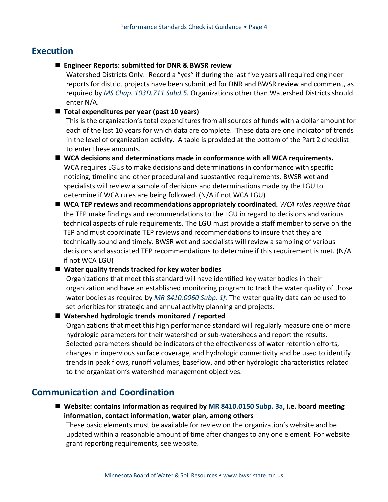## **Execution**

#### **Engineer Reports: submitted for DNR & BWSR review**

Watershed Districts Only: Record a "yes" if during the last five years all required engineer reports for district projects have been submitted for DNR and BWSR review and comment, as required by *[MS Chap. 103D.711 Subd.5.](https://www.revisor.mn.gov/statutes/?id=103D.711)* Organizations other than Watershed Districts should enter N/A.

## **Total expenditures per year (past 10 years)**

This is the organization's total expenditures from all sources of funds with a dollar amount for each of the last 10 years for which data are complete. These data are one indicator of trends in the level of organization activity. A table is provided at the bottom of the Part 2 checklist to enter these amounts.

■ WCA decisions and determinations made in conformance with all WCA requirements. WCA requires LGUs to make decisions and determinations in conformance with specific noticing, timeline and other procedural and substantive requirements. BWSR wetland specialists will review a sample of decisions and determinations made by the LGU to determine if WCA rules are being followed. (N/A if not WCA LGU)

■ WCA TEP reviews and recommendations appropriately coordinated. *WCA rules require that* the TEP make findings and recommendations to the LGU in regard to decisions and various technical aspects of rule requirements. The LGU must provide a staff member to serve on the TEP and must coordinate TEP reviews and recommendations to insure that they are technically sound and timely. BWSR wetland specialists will review a sampling of various decisions and associated TEP recommendations to determine if this requirement is met. (N/A if not WCA LGU)

## **Water quality trends tracked for key water bodies**

Organizations that meet this standard will have identified key water bodies in their organization and have an established monitoring program to track the water quality of those water bodies as required by *[MR 8410.0060 Subp. 1f.](https://www.revisor.leg.state.mn.us/rules/?id=8410.0060)* The water quality data can be used to set priorities for strategic and annual activity planning and projects.

## **Watershed hydrologic trends monitored / reported**

Organizations that meet this high performance standard will regularly measure one or more hydrologic parameters for their watershed or sub-watersheds and report the results. Selected parameters should be indicators of the effectiveness of water retention efforts, changes in impervious surface coverage, and hydrologic connectivity and be used to identify trends in peak flows, runoff volumes, baseflow, and other hydrologic characteristics related to the organization's watershed management objectives.

## **Communication and Coordination**

 **Website: contains information as required by [MR 8410.0150 Subp. 3a,](https://www.revisor.leg.state.mn.us/rules/?id=8410.0150) i.e. board meeting information, contact information, water plan, among others**

These basic elements must be available for review on the organization's website and be updated within a reasonable amount of time after changes to any one element. For website grant reporting requirements, see website.